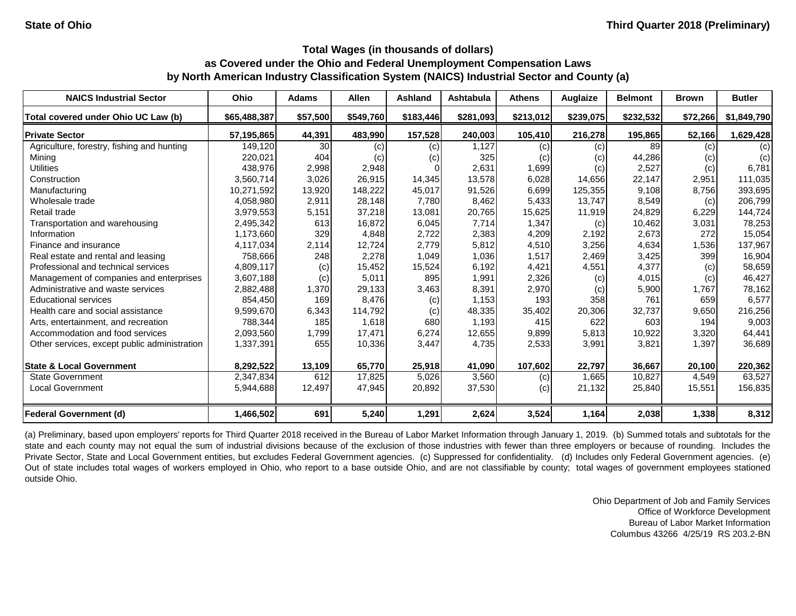| <b>NAICS Industrial Sector</b>               | <b>Ohio</b>  | <b>Adams</b> | <b>Allen</b> | <b>Ashland</b> | <b>Ashtabula</b> | <b>Athens</b> | Auglaize          | <b>Belmont</b> | <b>Brown</b> | <b>Butler</b> |
|----------------------------------------------|--------------|--------------|--------------|----------------|------------------|---------------|-------------------|----------------|--------------|---------------|
| Total covered under Ohio UC Law (b)          | \$65,488,387 | \$57,500     | \$549,760    | \$183,446      | \$281,093        | \$213,012     | \$239,075         | \$232,532      | \$72,266     | \$1,849,790   |
| <b>Private Sector</b>                        | 57,195,865   | 44,391       | 483,990      | 157,528        | 240,003          | 105,410       | 216,278           | 195,865        | 52,166       | 1,629,428     |
| Agriculture, forestry, fishing and hunting   | 149,120      | 30           | (c)          | (c)            | 1,127            | (c)           | (c)               | 89             | (c)          | (c)           |
| Mining                                       | 220,021      | 404          | (c)          | (c)            | 325              | (c)           | $\left( c\right)$ | 44,286         | (c)          | (c)           |
| <b>Utilities</b>                             | 438,976      | 2,998        | 2,948        |                | 2,631            | 1,699         | (c)               | 2,527          | (c)          | 6,781         |
| Construction                                 | 3,560,714    | 3,026        | 26,915       | 14,345         | 13,578           | 6,028         | 14,656            | 22,147         | 2,951        | 111,035       |
| Manufacturing                                | 10,271,592   | 13,920       | 148,222      | 45,017         | 91,526           | 6,699         | 125,355           | 9,108          | 8,756        | 393,695       |
| Wholesale trade                              | 4,058,980    | 2,911        | 28,148       | 7,780          | 8,462            | 5,433         | 13,747            | 8,549          | (c)          | 206,799       |
| Retail trade                                 | 3,979,553    | 5,151        | 37,218       | 13,081         | 20,765           | 15,625        | 11,919            | 24,829         | 6,229        | 144,724       |
| Transportation and warehousing               | 2,495,342    | 613          | 16,872       | 6,045          | 7,714            | 1,347         | (c)               | 10,462         | 3,031        | 78,253        |
| Information                                  | 1,173,660    | 329          | 4,848        | 2,722          | 2,383            | 4,209         | 2,192             | 2,673          | 272          | 15,054        |
| Finance and insurance                        | 4,117,034    | 2,114        | 12,724       | 2,779          | 5,812            | 4,510         | 3,256             | 4,634          | 1,536        | 137,967       |
| Real estate and rental and leasing           | 758,666      | 248          | 2,278        | 1,049          | 1,036            | 1,517         | 2,469             | 3,425          | 399          | 16,904        |
| Professional and technical services          | 4,809,117    | (c)          | 15,452       | 15,524         | 6,192            | 4,421         | 4,551             | 4,377          | (c)          | 58,659        |
| Management of companies and enterprises      | 3,607,188    | (c)          | 5,011        | 895            | 1,991            | 2,326         | (c)               | 4,015          | (c)          | 46,427        |
| Administrative and waste services            | 2,882,488    | 1,370        | 29,133       | 3,463          | 8,391            | 2,970         | (c)               | 5,900          | 1,767        | 78,162        |
| <b>Educational services</b>                  | 854,450      | 169          | 8,476        | (c)            | 1,153            | 193           | 358               | 761            | 659          | 6,577         |
| Health care and social assistance            | 9,599,670    | 6,343        | 114,792      | (c)            | 48,335           | 35,402        | 20,306            | 32,737         | 9,650        | 216,256       |
| Arts, entertainment, and recreation          | 788,344      | 185          | 1,618        | 680            | 1,193            | 415           | 622               | 603            | 194          | 9,003         |
| Accommodation and food services              | 2,093,560    | 1,799        | 17,471       | 6,274          | 12,655           | 9,899         | 5,813             | 10,922         | 3,320        | 64,441        |
| Other services, except public administration | 1,337,391    | 655          | 10,336       | 3,447          | 4,735            | 2,533         | 3,991             | 3,821          | 1,397        | 36,689        |
| <b>State &amp; Local Government</b>          | 8,292,522    | 13,109       | 65,770       | 25,918         | 41,090           | 107,602       | 22,797            | 36,667         | 20,100       | 220,362       |
| <b>State Government</b>                      | 2,347,834    | 612          | 17,825       | 5,026          | 3,560            | (c)           | 1,665             | 10,827         | 4,549        | 63,527        |
| <b>Local Government</b>                      | 5,944,688    | 12,497       | 47,945       | 20,892         | 37,530           | (c)           | 21,132            | 25,840         | 15,551       | 156,835       |
| <b>Federal Government (d)</b>                | 1,466,502    | 691          | 5,240        | 1,291          | 2,624            | 3,524         | 1,164             | 2,038          | 1,338        | 8,312         |

(a) Preliminary, based upon employers' reports for Third Quarter 2018 received in the Bureau of Labor Market Information through January 1, 2019. (b) Summed totals and subtotals for the state and each county may not equal the sum of industrial divisions because of the exclusion of those industries with fewer than three employers or because of rounding. Includes the Private Sector, State and Local Government entities, but excludes Federal Government agencies. (c) Suppressed for confidentiality. (d) Includes only Federal Government agencies. (e) Out of state includes total wages of workers employed in Ohio, who report to a base outside Ohio, and are not classifiable by county; total wages of government employees stationed outside Ohio.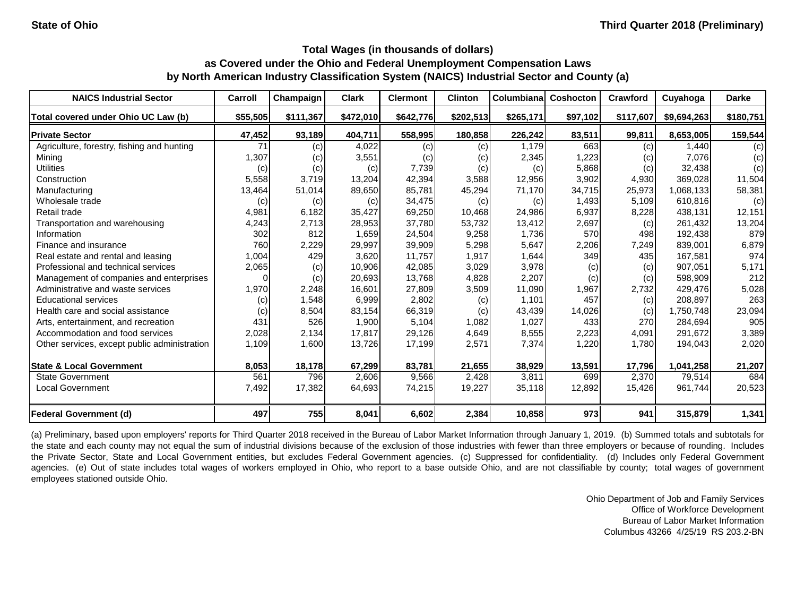| <b>NAICS Industrial Sector</b>               | Carroll  | Champaign | <b>Clark</b> | <b>Clermont</b> | <b>Clinton</b> | Columbiana | Coshocton | Crawford  | Cuyahoga    | <b>Darke</b> |
|----------------------------------------------|----------|-----------|--------------|-----------------|----------------|------------|-----------|-----------|-------------|--------------|
| Total covered under Ohio UC Law (b)          | \$55,505 | \$111,367 | \$472,010    | \$642,776       | \$202,513      | \$265,171  | \$97,102  | \$117,607 | \$9,694,263 | \$180,751    |
| <b>Private Sector</b>                        | 47,452   | 93,189    | 404,711      | 558,995         | 180,858        | 226,242    | 83,511    | 99,811    | 8,653,005   | 159,544      |
| Agriculture, forestry, fishing and hunting   | 71       | (c)       | 4,022        | (c)             | (c)            | 1,179      | 663       | (c)       | 1,440       | (c)          |
| Mining                                       | 1,307    | (c)       | 3,551        | (c)             | (c)            | 2,345      | 1,223     | (c)       | 7,076       | (c)          |
| <b>Utilities</b>                             | (c)      | (c)       | (c)          | 7,739           | (c)            | (c)        | 5,868     | (c)       | 32,438      | (c)          |
| Construction                                 | 5,558    | 3,719     | 13,204       | 42,394          | 3,588          | 12,956     | 3,902     | 4,930     | 369,028     | 11,504       |
| Manufacturing                                | 13,464   | 51,014    | 89,650       | 85,781          | 45,294         | 71,170     | 34,715    | 25,973    | 1,068,133   | 58,381       |
| Wholesale trade                              | (c)      | (c)       | (c)          | 34,475          | (c)            | (c)        | 1,493     | 5,109     | 610,816     | (c)          |
| Retail trade                                 | 4,981    | 6,182     | 35,427       | 69,250          | 10,468         | 24,986     | 6,937     | 8,228     | 438,131     | 12,151       |
| Transportation and warehousing               | 4,243    | 2,713     | 28,953       | 37,780          | 53,732         | 13,412     | 2,697     | (c)       | 261,432     | 13,204       |
| Information                                  | 302      | 812       | 1,659        | 24,504          | 9,258          | 1,736      | 570       | 498       | 192,438     | 879          |
| Finance and insurance                        | 760      | 2,229     | 29,997       | 39,909          | 5,298          | 5,647      | 2,206     | 7,249     | 839,001     | 6,879        |
| Real estate and rental and leasing           | 1,004    | 429       | 3,620        | 11,757          | 1,917          | 1,644      | 349       | 435       | 167,581     | 974          |
| Professional and technical services          | 2,065    | (c)       | 10,906       | 42,085          | 3,029          | 3,978      | (c)       | (c)       | 907,051     | 5,171        |
| Management of companies and enterprises      | $\Omega$ | (c)       | 20,693       | 13,768          | 4,828          | 2,207      | (c)       | (c)       | 598,909     | 212          |
| Administrative and waste services            | 1,970    | 2,248     | 16,601       | 27,809          | 3,509          | 11,090     | 1,967     | 2,732     | 429,476     | 5,028        |
| <b>Educational services</b>                  | (c)      | 1,548     | 6,999        | 2,802           | (c)            | 1,101      | 457       | (c)       | 208,897     | 263          |
| Health care and social assistance            | (c)      | 8,504     | 83,154       | 66,319          | (c)            | 43,439     | 14,026    | (c)       | 1,750,748   | 23,094       |
| Arts, entertainment, and recreation          | 431      | 526       | 1,900        | 5,104           | 1,082          | 1,027      | 433       | 270       | 284,694     | 905          |
| Accommodation and food services              | 2,028    | 2,134     | 17,817       | 29,126          | 4,649          | 8,555      | 2,223     | 4,091     | 291,672     | 3,389        |
| Other services, except public administration | 1,109    | 1,600     | 13,726       | 17,199          | 2,571          | 7,374      | 1,220     | 1,780     | 194,043     | 2,020        |
| <b>State &amp; Local Government</b>          | 8,053    | 18,178    | 67,299       | 83,781          | 21,655         | 38,929     | 13,591    | 17,796    | 1,041,258   | 21,207       |
| <b>State Government</b>                      | 561      | 796       | 2,606        | 9,566           | 2,428          | 3,811      | 699       | 2,370     | 79,514      | 684          |
| <b>Local Government</b>                      | 7,492    | 17,382    | 64,693       | 74,215          | 19,227         | 35,118     | 12,892    | 15,426    | 961,744     | 20,523       |
| <b>Federal Government (d)</b>                | 497      | 755       | 8,041        | 6,602           | 2,384          | 10,858     | 973       | 941       | 315,879     | 1,341        |

(a) Preliminary, based upon employers' reports for Third Quarter 2018 received in the Bureau of Labor Market Information through January 1, 2019. (b) Summed totals and subtotals for the state and each county may not equal the sum of industrial divisions because of the exclusion of those industries with fewer than three employers or because of rounding. Includes the Private Sector, State and Local Government entities, but excludes Federal Government agencies. (c) Suppressed for confidentiality. (d) Includes only Federal Government agencies. (e) Out of state includes total wages of workers employed in Ohio, who report to a base outside Ohio, and are not classifiable by county; total wages of government employees stationed outside Ohio.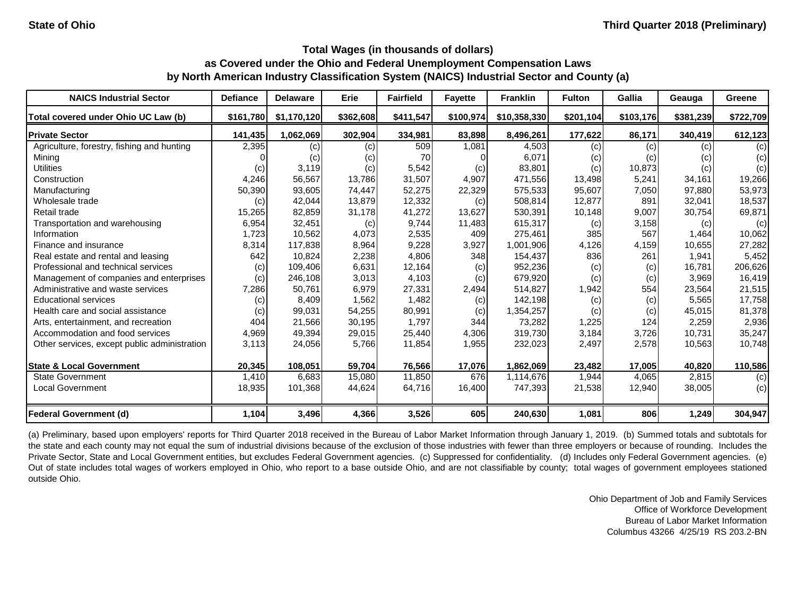| <b>NAICS Industrial Sector</b>               | <b>Defiance</b> | <b>Delaware</b> | <b>Erie</b> | <b>Fairfield</b> | <b>Fayette</b> | <b>Franklin</b> | <b>Fulton</b> | Gallia    | Geauga    | Greene    |
|----------------------------------------------|-----------------|-----------------|-------------|------------------|----------------|-----------------|---------------|-----------|-----------|-----------|
| Total covered under Ohio UC Law (b)          | \$161,780       | \$1,170,120     | \$362,608   | \$411,547        | \$100,974      | \$10,358,330    | \$201,104     | \$103,176 | \$381,239 | \$722,709 |
| <b>Private Sector</b>                        | 141,435         | 1,062,069       | 302,904     | 334,981          | 83,898         | 8,496,261       | 177,622       | 86,171    | 340,419   | 612,123   |
| Agriculture, forestry, fishing and hunting   | 2,395           | (c)             | (c)         | 509              | 1,081          | 4,503           | (c)           | (c)       | (c)       | (c)       |
| Mining                                       |                 | (c)             | (c)         | 70               |                | 6,071           | (c)           | (c)       | (C)       | (c)       |
| <b>Utilities</b>                             | (c)             | 3,119           | (c)         | 5,542            | (c)            | 83,801          | (c)           | 10,873    | (c)       | (c)       |
| Construction                                 | 4,246           | 56,567          | 13,786      | 31,507           | 4,907          | 471,556         | 13,498        | 5,241     | 34,161    | 19,266    |
| Manufacturing                                | 50,390          | 93,605          | 74,447      | 52,275           | 22,329         | 575,533         | 95,607        | 7,050     | 97,880    | 53,973    |
| Wholesale trade                              | (c)             | 42,044          | 13,879      | 12,332           | (c)            | 508,814         | 12,877        | 891       | 32,041    | 18,537    |
| Retail trade                                 | 15,265          | 82,859          | 31,178      | 41,272           | 13,627         | 530,391         | 10,148        | 9,007     | 30,754    | 69,871    |
| Transportation and warehousing               | 6,954           | 32,451          | (c)         | 9,744            | 11,483         | 615,317         | (c)           | 3,158     | (c)       | (c)       |
| Information                                  | 1,723           | 10,562          | 4,073       | 2,535            | 409            | 275,461         | 385           | 567       | 1,464     | 10,062    |
| Finance and insurance                        | 8,314           | 117,838         | 8,964       | 9,228            | 3,927          | 1,001,906       | 4,126         | 4,159     | 10,655    | 27,282    |
| Real estate and rental and leasing           | 642             | 10,824          | 2,238       | 4,806            | 348            | 154,437         | 836           | 261       | 1,941     | 5,452     |
| Professional and technical services          | (c)             | 109,406         | 6,631       | 12,164           | (c)            | 952,236         | (c)           | (c)       | 16,781    | 206,626   |
| Management of companies and enterprises      | (c)             | 246,108         | 3,013       | 4,103            | (c)            | 679,920         | (c)           | (c)       | 3,969     | 16,419    |
| Administrative and waste services            | 7,286           | 50,761          | 6,979       | 27,331           | 2,494          | 514,827         | 1,942         | 554       | 23,564    | 21,515    |
| <b>Educational services</b>                  | (c)             | 8,409           | 1,562       | 1,482            | (c)            | 142,198         | (c)           | (c)       | 5,565     | 17,758    |
| Health care and social assistance            | (c)             | 99,031          | 54,255      | 80,991           | (c)            | 1,354,257       | (c)           | (c)       | 45,015    | 81,378    |
| Arts, entertainment, and recreation          | 404             | 21,566          | 30,195      | 1,797            | 344            | 73,282          | 1,225         | 124       | 2,259     | 2,936     |
| Accommodation and food services              | 4,969           | 49,394          | 29,015      | 25,440           | 4,306          | 319,730         | 3,184         | 3,726     | 10,731    | 35,247    |
| Other services, except public administration | 3,113           | 24,056          | 5,766       | 11,854           | 1,955          | 232,023         | 2,497         | 2,578     | 10,563    | 10,748    |
| <b>State &amp; Local Government</b>          | 20,345          | 108,051         | 59,704      | 76,566           | 17,076         | 1,862,069       | 23,482        | 17,005    | 40,820    | 110,586   |
| State Government                             | 1,410           | 6,683           | 15,080      | 11,850           | 676            | 1,114,676       | 1,944         | 4,065     | 2,815     | (c)       |
| <b>Local Government</b>                      | 18,935          | 101,368         | 44,624      | 64,716           | 16,400         | 747,393         | 21,538        | 12,940    | 38,005    | (c)       |
| <b>Federal Government (d)</b>                | 1,104           | 3,496           | 4,366       | 3,526            | 605            | 240,630         | 1,081         | 806       | 1,249     | 304,947   |

(a) Preliminary, based upon employers' reports for Third Quarter 2018 received in the Bureau of Labor Market Information through January 1, 2019. (b) Summed totals and subtotals for the state and each county may not equal the sum of industrial divisions because of the exclusion of those industries with fewer than three employers or because of rounding. Includes the Private Sector, State and Local Government entities, but excludes Federal Government agencies. (c) Suppressed for confidentiality. (d) Includes only Federal Government agencies. (e) Out of state includes total wages of workers employed in Ohio, who report to a base outside Ohio, and are not classifiable by county; total wages of government employees stationed outside Ohio.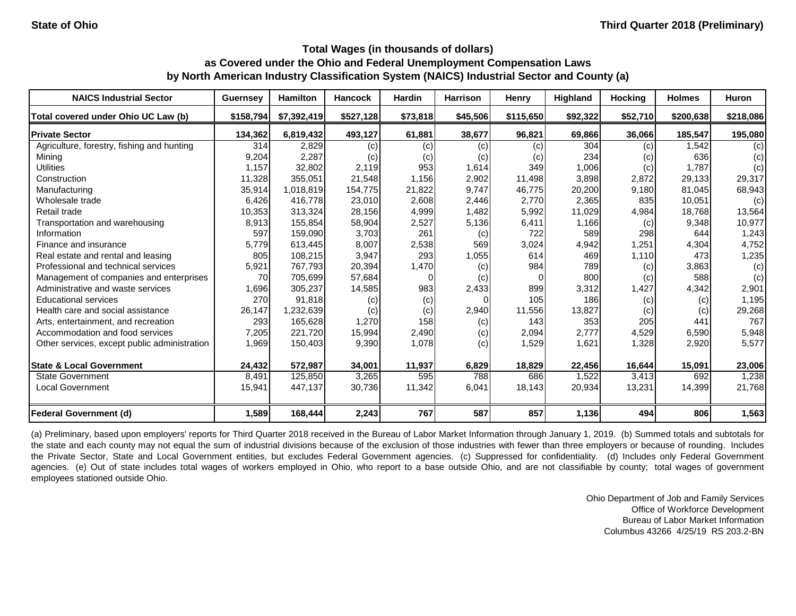| <b>NAICS Industrial Sector</b>               | <b>Guernsey</b> | Hamilton    | <b>Hancock</b> | <b>Hardin</b> | <b>Harrison</b> | <b>Henry</b> | Highland | <b>Hocking</b> | <b>Holmes</b> | <b>Huron</b> |
|----------------------------------------------|-----------------|-------------|----------------|---------------|-----------------|--------------|----------|----------------|---------------|--------------|
| Total covered under Ohio UC Law (b)          | \$158,794       | \$7,392,419 | \$527,128      | \$73,818      | \$45,506        | \$115,650    | \$92,322 | \$52,710       | \$200,638     | \$218,086    |
| <b>Private Sector</b>                        | 134,362         | 6,819,432   | 493,127        | 61,881        | 38,677          | 96,821       | 69,866   | 36,066         | 185,547       | 195,080      |
| Agriculture, forestry, fishing and hunting   | 314             | 2,829       | (c)            | (c)           | (c)             | (c)          | 304      | (c)            | 1,542         | (c)          |
| Mining                                       | 9,204           | 2,287       | (c)            | (c)           | (c)             | (c)          | 234      | (c)            | 636           | (c)          |
| <b>Utilities</b>                             | 1,157           | 32,802      | 2,119          | 953           | 1,614           | 349          | 1,006    | (c)            | 1,787         | (c)          |
| Construction                                 | 11,328          | 355,051     | 21,548         | 1,156         | 2,902           | 11,498       | 3,898    | 2,872          | 29,133        | 29,317       |
| Manufacturing                                | 35,914          | 1,018,819   | 154,775        | 21,822        | 9,747           | 46,775       | 20,200   | 9,180          | 81,045        | 68,943       |
| Wholesale trade                              | 6,426           | 416,778     | 23,010         | 2,608         | 2,446           | 2,770        | 2,365    | 835            | 10,051        | (c)          |
| Retail trade                                 | 10,353          | 313,324     | 28,156         | 4,999         | 1,482           | 5,992        | 11,029   | 4,984          | 18,768        | 13,564       |
| Transportation and warehousing               | 8,913           | 155,854     | 58,904         | 2,527         | 5,136           | 6,411        | 1,166    | (c)            | 9,348         | 10,977       |
| Information                                  | 597             | 159,090     | 3,703          | 261           | (c)             | 722          | 589      | 298            | 644           | 1,243        |
| Finance and insurance                        | 5,779           | 613,445     | 8,007          | 2,538         | 569             | 3,024        | 4,942    | 1,251          | 4,304         | 4,752        |
| Real estate and rental and leasing           | 805             | 108,215     | 3,947          | 293           | 1,055           | 614          | 469      | 1,110          | 473           | 1,235        |
| Professional and technical services          | 5,921           | 767,793     | 20,394         | 1,470         | (c)             | 984          | 789      | (c)            | 3,863         | (c)          |
| Management of companies and enterprises      | 70              | 705,699     | 57,684         | $\Omega$      | (c)             |              | 800      | (c)            | 588           | (c)          |
| Administrative and waste services            | 1,696           | 305,237     | 14,585         | 983           | 2,433           | 899          | 3,312    | 1,427          | 4,342         | 2,901        |
| <b>Educational services</b>                  | 270             | 91,818      | (c)            | (c)           |                 | 105          | 186      | (c)            | (c)           | 1,195        |
| Health care and social assistance            | 26,147          | 1,232,639   | (c)            | (c)           | 2,940           | 11,556       | 13,827   | (c)            | (c)           | 29,268       |
| Arts, entertainment, and recreation          | 293             | 165,628     | 1,270          | 158           | (c)             | 143          | 353      | 205            | 441           | 767          |
| Accommodation and food services              | 7,205           | 221,720     | 15,994         | 2,490         | (c)             | 2,094        | 2,777    | 4,529          | 6,590         | 5,948        |
| Other services, except public administration | 1,969           | 150,403     | 9,390          | 1,078         | (c)             | 1,529        | 1,621    | 1,328          | 2,920         | 5,577        |
|                                              |                 |             |                |               |                 |              |          |                |               |              |
| <b>State &amp; Local Government</b>          | 24,432          | 572,987     | 34,001         | 11,937        | 6,829           | 18,829       | 22,456   | 16,644         | 15,091        | 23,006       |
| <b>State Government</b>                      | 8,491           | 125,850     | 3,265          | 595           | 788             | 686          | 1,522    | 3,413          | 692           | 1,238        |
| <b>Local Government</b>                      | 15,941          | 447,137     | 30,736         | 11,342        | 6,041           | 18,143       | 20,934   | 13,231         | 14,399        | 21,768       |
| <b>Federal Government (d)</b>                | 1,589           | 168,444     | 2,243          | 767           | 587             | 857          | 1,136    | 494            | 806           | 1,563        |

(a) Preliminary, based upon employers' reports for Third Quarter 2018 received in the Bureau of Labor Market Information through January 1, 2019. (b) Summed totals and subtotals for the state and each county may not equal the sum of industrial divisions because of the exclusion of those industries with fewer than three employers or because of rounding. Includes the Private Sector, State and Local Government entities, but excludes Federal Government agencies. (c) Suppressed for confidentiality. (d) Includes only Federal Government agencies. (e) Out of state includes total wages of workers employed in Ohio, who report to a base outside Ohio, and are not classifiable by county; total wages of government employees stationed outside Ohio.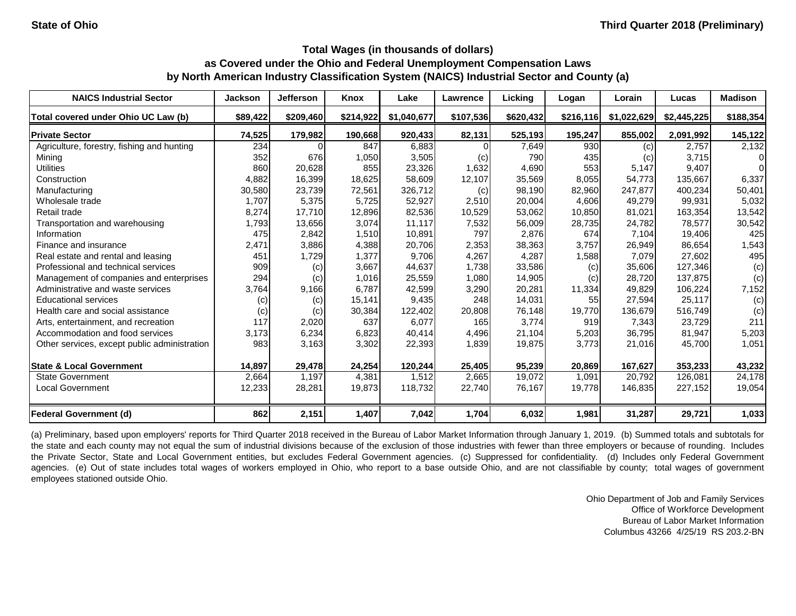| <b>NAICS Industrial Sector</b>               | <b>Jackson</b> | <b>Jefferson</b> | Knox      | Lake        | Lawrence  | Licking   | Logan     | Lorain      | Lucas       | <b>Madison</b> |
|----------------------------------------------|----------------|------------------|-----------|-------------|-----------|-----------|-----------|-------------|-------------|----------------|
| Total covered under Ohio UC Law (b)          | \$89,422       | \$209,460        | \$214,922 | \$1,040,677 | \$107,536 | \$620,432 | \$216,116 | \$1,022,629 | \$2,445,225 | \$188,354      |
| <b>Private Sector</b>                        | 74,525         | 179,982          | 190,668   | 920,433     | 82,131    | 525,193   | 195,247   | 855,002     | 2,091,992   | 145,122        |
| Agriculture, forestry, fishing and hunting   | 234            |                  | 847       | 6,883       |           | 7,649     | 930       | (c)         | 2,757       | 2,132          |
| Mining                                       | 352            | 676              | 1,050     | 3,505       | (c)       | 790       | 435       | (c)         | 3,715       | $\Omega$       |
| <b>Utilities</b>                             | 860            | 20,628           | 855       | 23,326      | 1,632     | 4,690     | 553       | 5,147       | 9,407       | $\Omega$       |
| Construction                                 | 4,882          | 16,399           | 18,625    | 58,609      | 12,107    | 35,569    | 8,055     | 54,773      | 135,667     | 6,337          |
| Manufacturing                                | 30,580         | 23,739           | 72,561    | 326,712     | (c)       | 98,190    | 82,960    | 247,877     | 400,234     | 50,401         |
| Wholesale trade                              | 1,707          | 5,375            | 5,725     | 52,927      | 2,510     | 20,004    | 4,606     | 49,279      | 99,931      | 5,032          |
| Retail trade                                 | 8,274          | 17,710           | 12,896    | 82,536      | 10,529    | 53,062    | 10,850    | 81,021      | 163,354     | 13,542         |
| Transportation and warehousing               | 1,793          | 13,656           | 3,074     | 11,117      | 7,532     | 56,009    | 28,735    | 24,782      | 78,577      | 30,542         |
| Information                                  | 475            | 2,842            | 1,510     | 10,891      | 797       | 2,876     | 674       | 7,104       | 19,406      | 425            |
| Finance and insurance                        | 2,471          | 3,886            | 4,388     | 20,706      | 2,353     | 38,363    | 3,757     | 26,949      | 86,654      | 1,543          |
| Real estate and rental and leasing           | 451            | 1,729            | 1,377     | 9,706       | 4,267     | 4,287     | 1,588     | 7,079       | 27,602      | 495            |
| Professional and technical services          | 909            | (c)              | 3,667     | 44,637      | 1,738     | 33,586    | (c)       | 35,606      | 127,346     | (c)            |
| Management of companies and enterprises      | 294            | (c)              | 1,016     | 25,559      | 1,080     | 14,905    | (c)       | 28,720      | 137,875     | (c)            |
| Administrative and waste services            | 3,764          | 9,166            | 6,787     | 42,599      | 3,290     | 20,281    | 11,334    | 49,829      | 106,224     | 7,152          |
| <b>Educational services</b>                  | (c)            | (c)              | 15,141    | 9,435       | 248       | 14,031    | 55        | 27,594      | 25,117      | (c)            |
| Health care and social assistance            | (c)            | (c)              | 30,384    | 122,402     | 20,808    | 76,148    | 19,770    | 136,679     | 516,749     | (c)            |
| Arts, entertainment, and recreation          | 117            | 2,020            | 637       | 6,077       | 165       | 3,774     | 919       | 7,343       | 23,729      | 211            |
| Accommodation and food services              | 3,173          | 6,234            | 6,823     | 40,414      | 4,496     | 21,104    | 5,203     | 36,795      | 81,947      | 5,203          |
| Other services, except public administration | 983            | 3,163            | 3,302     | 22,393      | 1,839     | 19,875    | 3,773     | 21,016      | 45,700      | 1,051          |
| <b>State &amp; Local Government</b>          | 14,897         | 29,478           | 24,254    | 120,244     | 25,405    | 95,239    | 20,869    | 167,627     | 353,233     | 43,232         |
| <b>State Government</b>                      | 2,664          | 1,197            | 4,381     | 1,512       | 2,665     | 19,072    | 1,091     | 20,792      | 126,081     | 24,178         |
| <b>Local Government</b>                      | 12,233         | 28,281           | 19,873    | 118,732     | 22,740    | 76,167    | 19,778    | 146,835     | 227,152     | 19,054         |
| <b>Federal Government (d)</b>                | 862            | 2,151            | 1,407     | 7,042       | 1,704     | 6,032     | 1,981     | 31,287      | 29,721      | 1,033          |

(a) Preliminary, based upon employers' reports for Third Quarter 2018 received in the Bureau of Labor Market Information through January 1, 2019. (b) Summed totals and subtotals for the state and each county may not equal the sum of industrial divisions because of the exclusion of those industries with fewer than three employers or because of rounding. Includes the Private Sector, State and Local Government entities, but excludes Federal Government agencies. (c) Suppressed for confidentiality. (d) Includes only Federal Government agencies. (e) Out of state includes total wages of workers employed in Ohio, who report to a base outside Ohio, and are not classifiable by county; total wages of government employees stationed outside Ohio.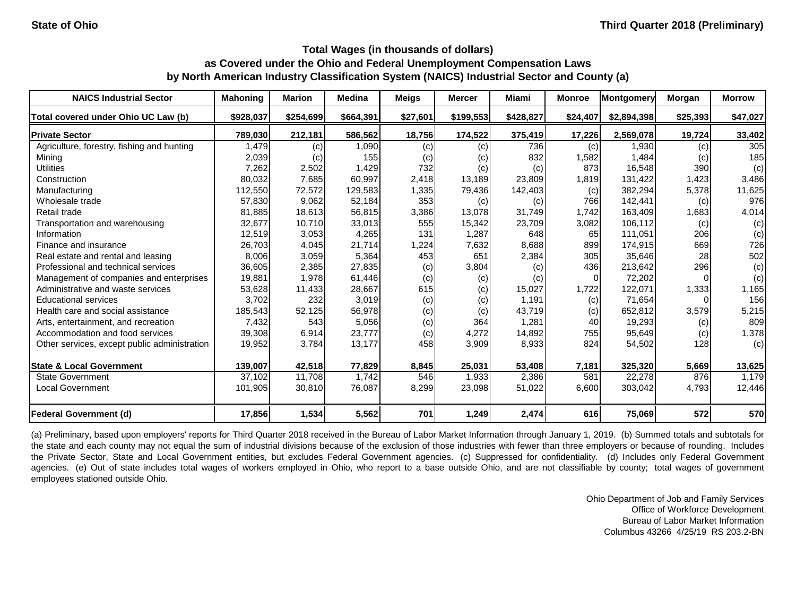| <b>NAICS Industrial Sector</b>               | <b>Mahoning</b> | <b>Marion</b> | <b>Medina</b> | <b>Meigs</b> | <b>Mercer</b> | Miami     | <b>Monroe</b> | Montgomery  | Morgan   | <b>Morrow</b> |
|----------------------------------------------|-----------------|---------------|---------------|--------------|---------------|-----------|---------------|-------------|----------|---------------|
| Total covered under Ohio UC Law (b)          | \$928,037       | \$254,699     | \$664,391     | \$27,601     | \$199,553     | \$428,827 | \$24,407      | \$2,894,398 | \$25,393 | \$47,027      |
| <b>Private Sector</b>                        | 789,030         | 212,181       | 586,562       | 18,756       | 174,522       | 375,419   | 17,226        | 2,569,078   | 19,724   | 33,402        |
| Agriculture, forestry, fishing and hunting   | 1,479           | (c)           | 1,090         | (c)          | (c)           | 736       | (c)           | 1,930       | (c)      | 305           |
| Mining                                       | 2,039           | (c)           | 155           | (c)          | (c)           | 832       | 1,582         | 1,484       | (c)      | 185           |
| <b>Utilities</b>                             | 7,262           | 2,502         | 1,429         | 732          | (c)           | (c)       | 873           | 16,548      | 390      | (c)           |
| Construction                                 | 80,032          | 7,685         | 60,997        | 2,418        | 13,189        | 23,809    | 1,819         | 131,422     | 1,423    | 3,486         |
| Manufacturing                                | 112,550         | 72,572        | 129,583       | 1,335        | 79,436        | 142,403   | (c)           | 382,294     | 5,378    | 11,625        |
| Wholesale trade                              | 57,830          | 9,062         | 52,184        | 353          | (c)           | (c)       | 766           | 142,441     | (c)      | 976           |
| Retail trade                                 | 81,885          | 18,613        | 56,815        | 3,386        | 13,078        | 31,749    | 1,742         | 163,409     | 1,683    | 4,014         |
| Transportation and warehousing               | 32,677          | 10,710        | 33,013        | 555          | 15,342        | 23,709    | 3,082         | 106,112     | (c)      | (c)           |
| Information                                  | 12,519          | 3,053         | 4,265         | 131          | 1,287         | 648       | 65            | 111,051     | 206      | (c)           |
| Finance and insurance                        | 26,703          | 4,045         | 21,714        | 1,224        | 7,632         | 8,688     | 899           | 174,915     | 669      | 726           |
| Real estate and rental and leasing           | 8,006           | 3,059         | 5,364         | 453          | 651           | 2,384     | 305           | 35,646      | 28       | 502           |
| Professional and technical services          | 36,605          | 2,385         | 27,835        | (c)          | 3,804         | (c)       | 436           | 213,642     | 296      | (c)           |
| Management of companies and enterprises      | 19,881          | 1,978         | 61,446        | (c)          | (c)           | (c)       | 0             | 72,202      |          | (c)           |
| Administrative and waste services            | 53,628          | 11,433        | 28,667        | 615          | (c)           | 15,027    | 1,722         | 122,071     | 1,333    | 1,165         |
| <b>Educational services</b>                  | 3,702           | 232           | 3,019         | (c)          | (c)           | 1,191     | (c)           | 71,654      |          | 156           |
| Health care and social assistance            | 185,543         | 52,125        | 56,978        | (c)          | (c)           | 43,719    | (c)           | 652,812     | 3,579    | 5,215         |
| Arts, entertainment, and recreation          | 7,432           | 543           | 5,056         | (c)          | 364           | 1,281     | 40            | 19,293      | (c)      | 809           |
| Accommodation and food services              | 39,308          | 6,914         | 23,777        | (c)          | 4,272         | 14,892    | 755           | 95,649      | (c)      | 1,378         |
| Other services, except public administration | 19,952          | 3,784         | 13,177        | 458          | 3,909         | 8,933     | 824           | 54,502      | 128      | (c)           |
| <b>State &amp; Local Government</b>          | 139,007         | 42,518        | 77,829        | 8,845        | 25,031        | 53,408    | 7,181         | 325,320     | 5,669    | 13,625        |
| <b>State Government</b>                      | 37,102          | 11,708        | 1,742         | 546          | 1,933         | 2,386     | 581           | 22,278      | 876      | 1,179         |
| <b>Local Government</b>                      | 101,905         | 30,810        | 76,087        | 8,299        | 23,098        | 51,022    | 6,600         | 303,042     | 4,793    | 12,446        |
| <b>Federal Government (d)</b>                | 17,856          | 1,534         | 5,562         | 701          | 1,249         | 2,474     | 616           | 75,069      | 572      | 570           |

(a) Preliminary, based upon employers' reports for Third Quarter 2018 received in the Bureau of Labor Market Information through January 1, 2019. (b) Summed totals and subtotals for the state and each county may not equal the sum of industrial divisions because of the exclusion of those industries with fewer than three employers or because of rounding. Includes the Private Sector, State and Local Government entities, but excludes Federal Government agencies. (c) Suppressed for confidentiality. (d) Includes only Federal Government agencies. (e) Out of state includes total wages of workers employed in Ohio, who report to a base outside Ohio, and are not classifiable by county; total wages of government employees stationed outside Ohio.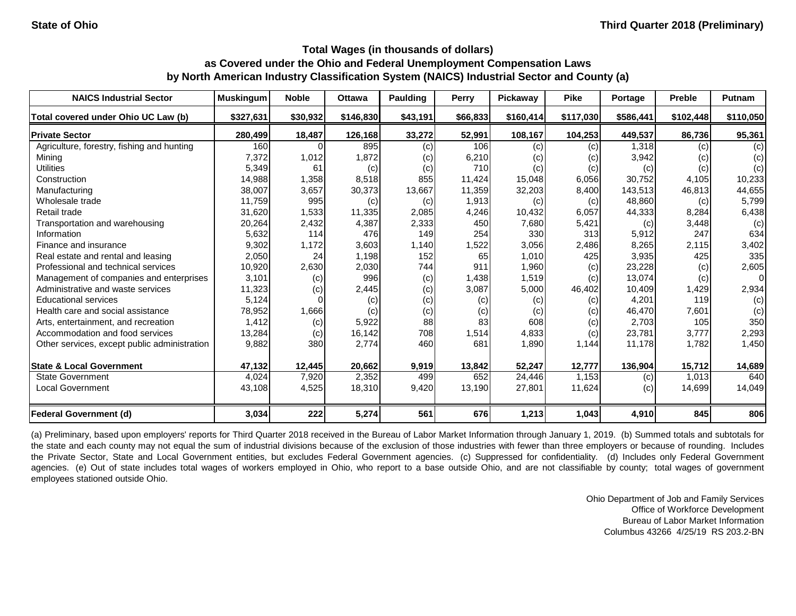| <b>NAICS Industrial Sector</b>               | <b>Muskingum</b> | <b>Noble</b> | <b>Ottawa</b> | <b>Paulding</b> | Perry    | Pickaway  | <b>Pike</b> | Portage   | <b>Preble</b> | Putnam    |
|----------------------------------------------|------------------|--------------|---------------|-----------------|----------|-----------|-------------|-----------|---------------|-----------|
| Total covered under Ohio UC Law (b)          | \$327,631        | \$30,932     | \$146,830     | \$43,191        | \$66,833 | \$160,414 | \$117,030   | \$586,441 | \$102,448     | \$110,050 |
| <b>Private Sector</b>                        | 280,499          | 18,487       | 126,168       | 33,272          | 52,991   | 108,167   | 104,253     | 449,537   | 86,736        | 95,361    |
| Agriculture, forestry, fishing and hunting   | 160              |              | 895           | (c)             | 106      | (c)       | (c)         | 1,318     | (c)           | (c)       |
| Mining                                       | 7,372            | 1,012        | 1,872         | (c)             | 6,210    | (c)       | (c)         | 3,942     | (c)           | (c)       |
| <b>Utilities</b>                             | 5,349            | 61           | (c)           | (c)             | 710      | (c)       | (c)         | (c)       | (c)           | (c)       |
| Construction                                 | 14,988           | 1,358        | 8,518         | 855             | 11,424   | 15,048    | 6,056       | 30,752    | 4,105         | 10,233    |
| Manufacturing                                | 38,007           | 3,657        | 30,373        | 13,667          | 11,359   | 32,203    | 8,400       | 143,513   | 46,813        | 44,655    |
| Wholesale trade                              | 11,759           | 995          | (c)           | (c)             | 1,913    | (c)       | (c)         | 48,860    | (c)           | 5,799     |
| Retail trade                                 | 31,620           | 1,533        | 11,335        | 2,085           | 4,246    | 10,432    | 6,057       | 44,333    | 8,284         | 6,438     |
| Transportation and warehousing               | 20,264           | 2,432        | 4,387         | 2,333           | 450      | 7,680     | 5,421       | (c)       | 3,448         | (c)       |
| Information                                  | 5,632            | 114          | 476           | 149             | 254      | 330       | 313         | 5,912     | 247           | 634       |
| Finance and insurance                        | 9,302            | 1,172        | 3,603         | 1,140           | 1,522    | 3,056     | 2,486       | 8,265     | 2,115         | 3,402     |
| Real estate and rental and leasing           | 2,050            | 24           | 1,198         | 152             | 65       | 1,010     | 425         | 3,935     | 425           | 335       |
| Professional and technical services          | 10,920           | 2,630        | 2,030         | 744             | 911      | 1,960     | (c)         | 23,228    | (c)           | 2,605     |
| Management of companies and enterprises      | 3,101            | (c)          | 996           | (c)             | 1,438    | 1,519     | (c)         | 13,074    | (c)           | 01        |
| Administrative and waste services            | 11,323           | (c)          | 2,445         | (c)             | 3,087    | 5,000     | 46,402      | 10,409    | 1,429         | 2,934     |
| <b>Educational services</b>                  | 5,124            |              | (c)           | (c)             | (c)      | (c)       | (c)         | 4,201     | 119           | (c)       |
| Health care and social assistance            | 78,952           | 1,666        | (c)           | (c)             | (c)      | (c)       | (c)         | 46,470    | 7,601         | (c)       |
| Arts, entertainment, and recreation          | 1,412            | (c)          | 5,922         | 88              | 83       | 608       | (c)         | 2,703     | 105           | 350       |
| Accommodation and food services              | 13,284           | (c)          | 16,142        | 708             | 1,514    | 4,833     | (c)         | 23,781    | 3,777         | 2,293     |
| Other services, except public administration | 9,882            | 380          | 2,774         | 460             | 681      | 1,890     | 1,144       | 11,178    | 1,782         | 1,450     |
| <b>State &amp; Local Government</b>          | 47,132           | 12,445       | 20,662        | 9,919           | 13,842   | 52,247    | 12,777      | 136,904   | 15,712        | 14,689    |
| <b>State Government</b>                      | 4,024            | 7,920        | 2,352         | 499             | 652      | 24,446    | 1,153       | (c)       | 1,013         | 640       |
| <b>Local Government</b>                      | 43,108           | 4,525        | 18,310        | 9,420           | 13,190   | 27,801    | 11,624      | (c)       | 14,699        | 14,049    |
| <b>Federal Government (d)</b>                | 3,034            | 222          | 5,274         | 561             | 676      | 1,213     | 1,043       | 4,910     | 845           | 806       |

(a) Preliminary, based upon employers' reports for Third Quarter 2018 received in the Bureau of Labor Market Information through January 1, 2019. (b) Summed totals and subtotals for the state and each county may not equal the sum of industrial divisions because of the exclusion of those industries with fewer than three employers or because of rounding. Includes the Private Sector, State and Local Government entities, but excludes Federal Government agencies. (c) Suppressed for confidentiality. (d) Includes only Federal Government agencies. (e) Out of state includes total wages of workers employed in Ohio, who report to a base outside Ohio, and are not classifiable by county; total wages of government employees stationed outside Ohio.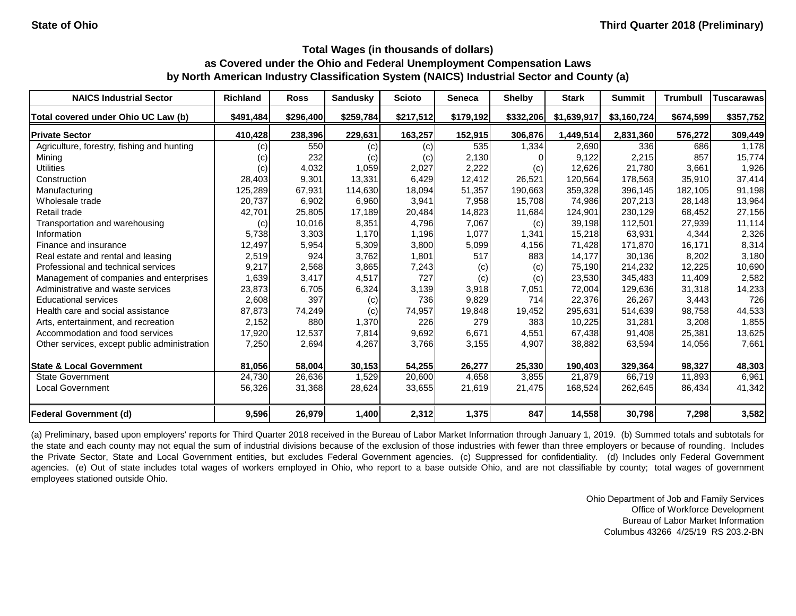| <b>NAICS Industrial Sector</b>               | <b>Richland</b> | <b>Ross</b> | <b>Sandusky</b> | <b>Scioto</b> | <b>Seneca</b> | <b>Shelby</b> | <b>Stark</b> | <b>Summit</b> | <b>Trumbull</b> | Tuscarawas |
|----------------------------------------------|-----------------|-------------|-----------------|---------------|---------------|---------------|--------------|---------------|-----------------|------------|
| Total covered under Ohio UC Law (b)          | \$491,484       | \$296,400   | \$259,784       | \$217,512     | \$179,192     | \$332,206     | \$1,639,917  | \$3,160,724   | \$674,599       | \$357,752  |
| <b>Private Sector</b>                        | 410,428         | 238,396     | 229,631         | 163,257       | 152,915       | 306,876       | 1,449,514    | 2,831,360     | 576,272         | 309,449    |
| Agriculture, forestry, fishing and hunting   | (c)             | 550         | (c)             | (c)           | 535           | 1,334         | 2,690        | 336           | 686             | 1,178      |
| Mining                                       | (c)             | 232         | (c)             | (c)           | 2,130         |               | 9,122        | 2,215         | 857             | 15,774     |
| <b>Utilities</b>                             | (c)             | 4,032       | 1,059           | 2,027         | 2,222         | (c)           | 12,626       | 21,780        | 3,661           | 1,926      |
| Construction                                 | 28,403          | 9,301       | 13,331          | 6,429         | 12,412        | 26,521        | 120,564      | 178,563       | 35,910          | 37,414     |
| Manufacturing                                | 125,289         | 67,931      | 114,630         | 18,094        | 51,357        | 190,663       | 359,328      | 396,145       | 182,105         | 91,198     |
| Wholesale trade                              | 20,737          | 6,902       | 6,960           | 3,941         | 7,958         | 15,708        | 74,986       | 207,213       | 28,148          | 13,964     |
| Retail trade                                 | 42,701          | 25,805      | 17,189          | 20,484        | 14,823        | 11,684        | 124,901      | 230,129       | 68,452          | 27,156     |
| Transportation and warehousing               | (c)             | 10,016      | 8,351           | 4,796         | 7,067         | (c)           | 39,198       | 112,501       | 27,939          | 11,114     |
| Information                                  | 5,738           | 3,303       | 1,170           | 1,196         | 1,077         | 1,341         | 15,218       | 63,931        | 4,344           | 2,326      |
| Finance and insurance                        | 12,497          | 5,954       | 5,309           | 3,800         | 5,099         | 4,156         | 71,428       | 171,870       | 16,171          | 8,314      |
| Real estate and rental and leasing           | 2,519           | 924         | 3,762           | 1,801         | 517           | 883           | 14,177       | 30,136        | 8,202           | 3,180      |
| Professional and technical services          | 9,217           | 2,568       | 3,865           | 7,243         | (c)           | (c)           | 75,190       | 214,232       | 12,225          | 10,690     |
| Management of companies and enterprises      | 1,639           | 3,417       | 4,517           | 727           | (c)           | (c)           | 23,530       | 345,483       | 11,409          | 2,582      |
| Administrative and waste services            | 23,873          | 6,705       | 6,324           | 3,139         | 3,918         | 7,051         | 72,004       | 129,636       | 31,318          | 14,233     |
| <b>Educational services</b>                  | 2,608           | 397         | (c)             | 736           | 9,829         | 714           | 22,376       | 26,267        | 3,443           | 726        |
| Health care and social assistance            | 87,873          | 74,249      | (c)             | 74,957        | 19,848        | 19,452        | 295,631      | 514,639       | 98,758          | 44,533     |
| Arts, entertainment, and recreation          | 2,152           | 880         | 1,370           | 226           | 279           | 383           | 10,225       | 31,281        | 3,208           | 1,855      |
| Accommodation and food services              | 17,920          | 12,537      | 7,814           | 9,692         | 6,671         | 4,551         | 67,438       | 91,408        | 25,381          | 13,625     |
| Other services, except public administration | 7,250           | 2,694       | 4,267           | 3,766         | 3,155         | 4,907         | 38,882       | 63,594        | 14,056          | 7,661      |
| <b>State &amp; Local Government</b>          | 81,056          | 58,004      | 30,153          | 54,255        | 26,277        | 25,330        | 190,403      | 329,364       | 98,327          | 48,303     |
| State Government                             | 24,730          | 26,636      | 1,529           | 20,600        | 4,658         | 3,855         | 21,879       | 66,719        | 11,893          | 6,961      |
| <b>Local Government</b>                      | 56,326          | 31,368      | 28,624          | 33,655        | 21,619        | 21,475        | 168,524      | 262,645       | 86,434          | 41,342     |
| <b>Federal Government (d)</b>                | 9,596           | 26,979      | 1,400           | 2,312         | 1,375         | 847           | 14,558       | 30,798        | 7,298           | 3,582      |

(a) Preliminary, based upon employers' reports for Third Quarter 2018 received in the Bureau of Labor Market Information through January 1, 2019. (b) Summed totals and subtotals for the state and each county may not equal the sum of industrial divisions because of the exclusion of those industries with fewer than three employers or because of rounding. Includes the Private Sector, State and Local Government entities, but excludes Federal Government agencies. (c) Suppressed for confidentiality. (d) Includes only Federal Government agencies. (e) Out of state includes total wages of workers employed in Ohio, who report to a base outside Ohio, and are not classifiable by county; total wages of government employees stationed outside Ohio.